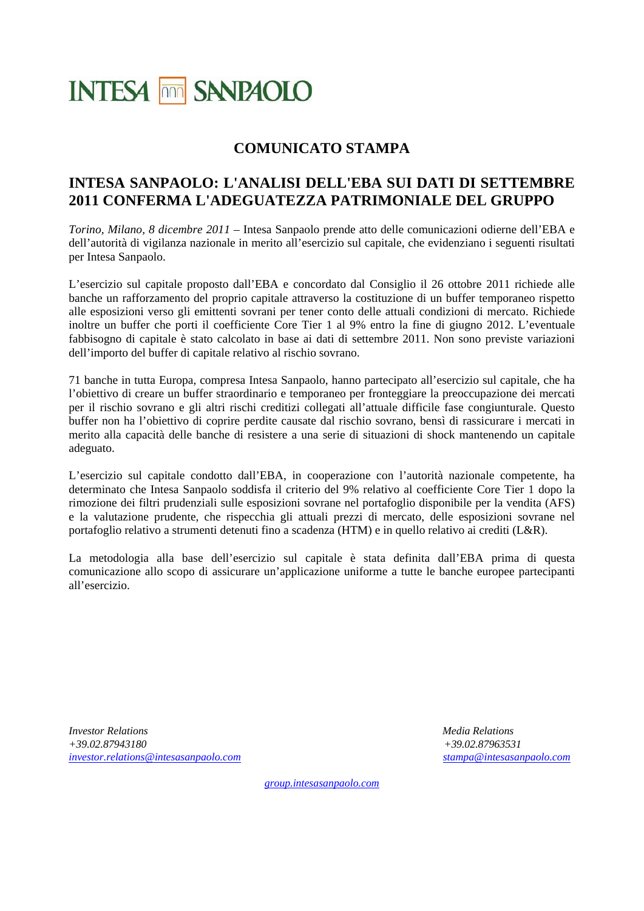# **INTESA MM SANPAOLO**

# **COMUNICATO STAMPA**

## **INTESA SANPAOLO: L'ANALISI DELL'EBA SUI DATI DI SETTEMBRE 2011 CONFERMA L'ADEGUATEZZA PATRIMONIALE DEL GRUPPO**

*Torino, Milano, 8 dicembre 2011 –* Intesa Sanpaolo prende atto delle comunicazioni odierne dell'EBA e dell'autorità di vigilanza nazionale in merito all'esercizio sul capitale, che evidenziano i seguenti risultati per Intesa Sanpaolo.

L'esercizio sul capitale proposto dall'EBA e concordato dal Consiglio il 26 ottobre 2011 richiede alle banche un rafforzamento del proprio capitale attraverso la costituzione di un buffer temporaneo rispetto alle esposizioni verso gli emittenti sovrani per tener conto delle attuali condizioni di mercato. Richiede inoltre un buffer che porti il coefficiente Core Tier 1 al 9% entro la fine di giugno 2012. L'eventuale fabbisogno di capitale è stato calcolato in base ai dati di settembre 2011. Non sono previste variazioni dell'importo del buffer di capitale relativo al rischio sovrano.

71 banche in tutta Europa, compresa Intesa Sanpaolo, hanno partecipato all'esercizio sul capitale, che ha l'obiettivo di creare un buffer straordinario e temporaneo per fronteggiare la preoccupazione dei mercati per il rischio sovrano e gli altri rischi creditizi collegati all'attuale difficile fase congiunturale. Questo buffer non ha l'obiettivo di coprire perdite causate dal rischio sovrano, bensì di rassicurare i mercati in merito alla capacità delle banche di resistere a una serie di situazioni di shock mantenendo un capitale adeguato.

L'esercizio sul capitale condotto dall'EBA, in cooperazione con l'autorità nazionale competente, ha determinato che Intesa Sanpaolo soddisfa il criterio del 9% relativo al coefficiente Core Tier 1 dopo la rimozione dei filtri prudenziali sulle esposizioni sovrane nel portafoglio disponibile per la vendita (AFS) e la valutazione prudente, che rispecchia gli attuali prezzi di mercato, delle esposizioni sovrane nel portafoglio relativo a strumenti detenuti fino a scadenza (HTM) e in quello relativo ai crediti (L&R).

La metodologia alla base dell'esercizio sul capitale è stata definita dall'EBA prima di questa comunicazione allo scopo di assicurare un'applicazione uniforme a tutte le banche europee partecipanti all'esercizio.

*Investor Relations Media Relations +39.02.87943180 +39.02.87963531 [investor.relations@intesasanpaolo.com](mailto:investor.relations@intesasanpaolo.com) [stampa@intesasanpaolo.com](mailto:stampa@intesasanpaolo.com)* 

*[group.intesasanpaolo.com](http://www.intesasanpaolo.com/)*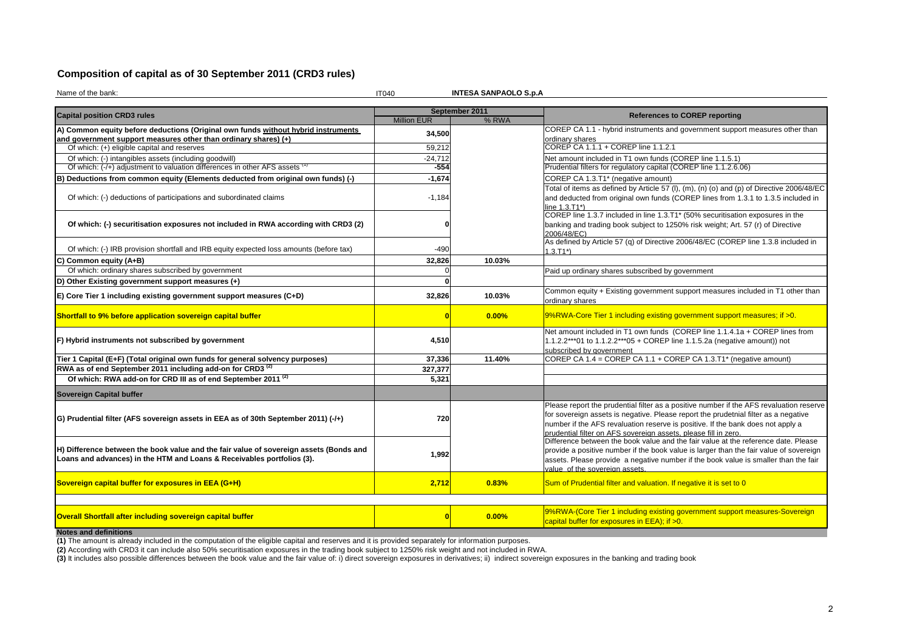## **Composition of capital as of 30 September 2011 (CRD3 rules)**

Name of the bank:

essa sekä kuuluvat oli tai talle tai talle tai talle tai talle tai talle tai talle tai talle tai talle tai tall

**INTESA SANPAOLO S.p.A**

|                                                                                                                                                                  |                    | September 2011 | <b>References to COREP reporting</b>                                                                                                                                                                                                                                                                                                 |  |  |  |
|------------------------------------------------------------------------------------------------------------------------------------------------------------------|--------------------|----------------|--------------------------------------------------------------------------------------------------------------------------------------------------------------------------------------------------------------------------------------------------------------------------------------------------------------------------------------|--|--|--|
| <b>Capital position CRD3 rules</b>                                                                                                                               | <b>Million EUR</b> | % RWA          |                                                                                                                                                                                                                                                                                                                                      |  |  |  |
| A) Common equity before deductions (Original own funds without hybrid instruments                                                                                | 34,500             |                | COREP CA 1.1 - hybrid instruments and government support measures other than                                                                                                                                                                                                                                                         |  |  |  |
| and government support measures other than ordinary shares) (+)                                                                                                  |                    |                | ordinary shares                                                                                                                                                                                                                                                                                                                      |  |  |  |
| Of which: (+) eligible capital and reserves                                                                                                                      | 59,212             |                | COREP CA 1.1.1 + COREP line 1.1.2.1                                                                                                                                                                                                                                                                                                  |  |  |  |
| Of which: (-) intangibles assets (including goodwill)                                                                                                            | $-24,712$          |                | Net amount included in T1 own funds (COREP line 1.1.5.1)                                                                                                                                                                                                                                                                             |  |  |  |
| Of which: (-/+) adjustment to valuation differences in other AFS assets \                                                                                        | $-554$             |                | Prudential filters for regulatory capital (COREP line 1.1.2.6.06)                                                                                                                                                                                                                                                                    |  |  |  |
| B) Deductions from common equity (Elements deducted from original own funds) (-)                                                                                 | $-1,674$           |                | COREP CA 1.3.T1* (negative amount)                                                                                                                                                                                                                                                                                                   |  |  |  |
| Of which: (-) deductions of participations and subordinated claims                                                                                               | $-1,184$           |                | Total of items as defined by Article 57 (I), (m), (n) (o) and (p) of Directive 2006/48/EC<br>and deducted from original own funds (COREP lines from 1.3.1 to 1.3.5 included in<br>line 1.3.T1*)                                                                                                                                      |  |  |  |
| Of which: (-) securitisation exposures not included in RWA according with CRD3 (2)                                                                               |                    |                | COREP line 1.3.7 included in line 1.3.T1* (50% securitisation exposures in the<br>banking and trading book subject to 1250% risk weight; Art. 57 (r) of Directive<br>2006/48/EC)                                                                                                                                                     |  |  |  |
| Of which: (-) IRB provision shortfall and IRB equity expected loss amounts (before tax)                                                                          | -490               |                | As defined by Article 57 (q) of Directive 2006/48/EC (COREP line 1.3.8 included in<br>$1.3.T1*$                                                                                                                                                                                                                                      |  |  |  |
| C) Common equity (A+B)                                                                                                                                           | 32,826             | 10.03%         |                                                                                                                                                                                                                                                                                                                                      |  |  |  |
| Of which: ordinary shares subscribed by government                                                                                                               |                    |                | Paid up ordinary shares subscribed by government                                                                                                                                                                                                                                                                                     |  |  |  |
| D) Other Existing government support measures (+)                                                                                                                |                    |                |                                                                                                                                                                                                                                                                                                                                      |  |  |  |
| E) Core Tier 1 including existing government support measures (C+D)                                                                                              | 32,826             | 10.03%         | Common equity + Existing government support measures included in T1 other than<br>ordinary shares                                                                                                                                                                                                                                    |  |  |  |
| Shortfall to 9% before application sovereign capital buffer                                                                                                      |                    | 0.00%          | 9%RWA-Core Tier 1 including existing government support measures; if >0.                                                                                                                                                                                                                                                             |  |  |  |
| F) Hybrid instruments not subscribed by government                                                                                                               | 4,510              |                | Net amount included in T1 own funds (COREP line 1.1.4.1a + COREP lines from<br>1.1.2.2***01 to 1.1.2.2***05 + COREP line 1.1.5.2a (negative amount)) not<br>subscribed by government                                                                                                                                                 |  |  |  |
| Tier 1 Capital (E+F) (Total original own funds for general solvency purposes)                                                                                    | 37.336             | 11.40%         | COREP CA 1.4 = COREP CA 1.1 + COREP CA 1.3.T1* (negative amount)                                                                                                                                                                                                                                                                     |  |  |  |
| RWA as of end September 2011 including add-on for CRD3 <sup>(2)</sup>                                                                                            | 327,377            |                |                                                                                                                                                                                                                                                                                                                                      |  |  |  |
| Of which: RWA add-on for CRD III as of end September 2011 <sup>(2)</sup>                                                                                         | 5,321              |                |                                                                                                                                                                                                                                                                                                                                      |  |  |  |
| <b>Sovereign Capital buffer</b>                                                                                                                                  |                    |                |                                                                                                                                                                                                                                                                                                                                      |  |  |  |
| G) Prudential filter (AFS sovereign assets in EEA as of 30th September 2011) (-/+)                                                                               | 720                |                | Please report the prudential filter as a positive number if the AFS revaluation reserve<br>for sovereign assets is negative. Please report the prudetnial filter as a negative<br>number if the AFS revaluation reserve is positive. If the bank does not apply a<br>prudential filter on AFS sovereign assets, please fill in zero. |  |  |  |
| H) Difference between the book value and the fair value of sovereign assets (Bonds and<br>Loans and advances) in the HTM and Loans & Receivables portfolios (3). | 1,992              |                | Difference between the book value and the fair value at the reference date. Please<br>provide a positive number if the book value is larger than the fair value of sovereign<br>assets. Please provide a negative number if the book value is smaller than the fair<br>value of the sovereign assets.                                |  |  |  |
| Sovereign capital buffer for exposures in EEA (G+H)                                                                                                              | 2,712              | 0.83%          | Sum of Prudential filter and valuation. If negative it is set to 0                                                                                                                                                                                                                                                                   |  |  |  |
|                                                                                                                                                                  |                    |                |                                                                                                                                                                                                                                                                                                                                      |  |  |  |
| Overall Shortfall after including sovereign capital buffer                                                                                                       | n                  | 0.00%          | 9%RWA-(Core Tier 1 including existing government support measures-Sovereign<br>capital buffer for exposures in EEA); if >0.                                                                                                                                                                                                          |  |  |  |
| Notes and definitions                                                                                                                                            |                    |                |                                                                                                                                                                                                                                                                                                                                      |  |  |  |

**Notes and definitions**<br>(1) The amount is already included in the computation of the eligible capital and reserves and it is provided separately for information purposes.<br><mark>(2)</mark> According with CRD3 it can include also 50% s **(1)** The amount is already included in the computation of the eligible capital and reserves and it is provided separately for information purposes.

(3) It includes also possible differences between the book value and the fair value of: i) direct sovereign exposures in derivatives; ii) indirect sovereign exposures in the banking and trading book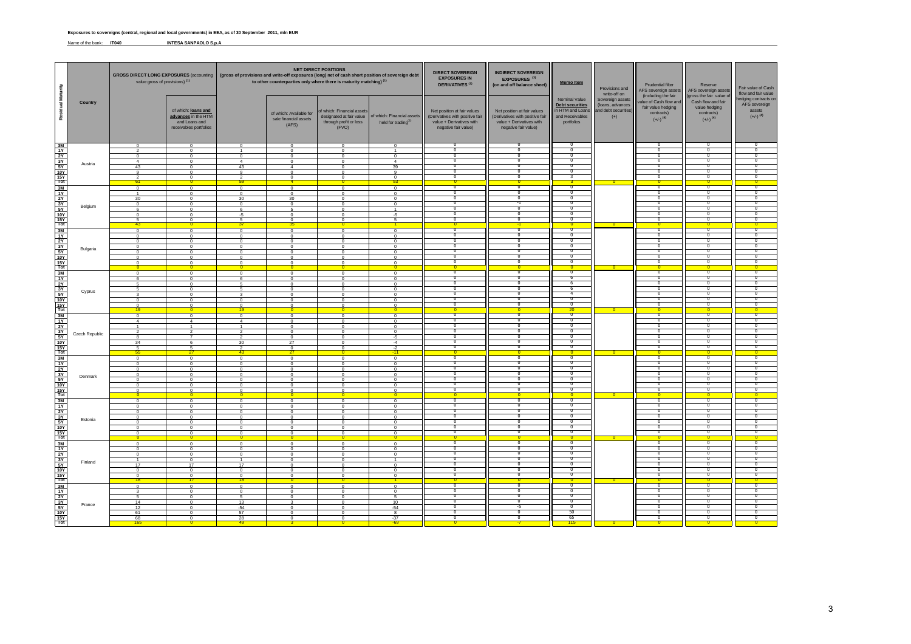#### **Exposures to sovereigns (central, regional and local governments) in EEA, as of 30 September 2011, mln EUR**

Name of the bank: **IT040 INTESA SANPAOLO S.p.A**

|                                                                                                      |                | value gross of provisions) (1)   |                                                                                       | <b>NET DIRECT POSITIONS</b><br>GROSS DIRECT LONG EXPOSURES (accounting   (gross of provisions and write-off exposures (long) net of cash short position of sovereign debt<br>to other counterparties only where there is maturity matching) (1) |                                                           |                                                                                          | <b>DIRECT SOVEREIGN</b><br><b>EXPOSURES IN</b><br><b>DERIVATIVES<sup>(1)</sup></b> | <b>INDIRECT SOVEREIGN</b><br>EXPOSURES <sup>(3)</sup><br>(on and off balance sheet)                                | <b>Memo Item</b>                                                                                                   | Provisions and<br>write-off on                                                               | Prudential filter<br>AFS sovereign assets                             | Reserve<br>AFS sovereign assets                                                                             | Fair value of Cash<br>flow and fair value                                                               |                                                                          |
|------------------------------------------------------------------------------------------------------|----------------|----------------------------------|---------------------------------------------------------------------------------------|-------------------------------------------------------------------------------------------------------------------------------------------------------------------------------------------------------------------------------------------------|-----------------------------------------------------------|------------------------------------------------------------------------------------------|------------------------------------------------------------------------------------|--------------------------------------------------------------------------------------------------------------------|--------------------------------------------------------------------------------------------------------------------|----------------------------------------------------------------------------------------------|-----------------------------------------------------------------------|-------------------------------------------------------------------------------------------------------------|---------------------------------------------------------------------------------------------------------|--------------------------------------------------------------------------|
| Residual Maturity                                                                                    | Country        |                                  | of which: loans and<br>advances in the HTM<br>and Loans and<br>receivables portfolios |                                                                                                                                                                                                                                                 | of which: Available for<br>sale financial assets<br>(AFS) | f which: Financial assets<br>designated at fair value<br>through profit or loss<br>(FVO) | of which: Financial assets<br>held for trading <sup>(2)</sup>                      | Net position at fair values<br>(Derivatives with positive fair<br>value + Derivatives with<br>negative fair value) | Net position at fair values<br>(Derivatives with positive fair<br>value + Derivatives with<br>negative fair value) | Nominal Value<br><b>Debt securities</b><br>in HTM and Loans<br>and Receivables<br>portfolios | Sovereign assets<br>(loans, advances<br>and debt securities'<br>$(+)$ | (including the fair<br>value of Cash flow and<br>fair value hedging<br>contracts)<br>$(+/-)$ <sup>(4)</sup> | (gross the fair value of<br>Cash flow and fair<br>value hedging<br>contracts)<br>$(+/-)$ <sup>(4)</sup> | edging contracts or<br>AFS sovereign<br>assets<br>$(+/-)$ <sup>(4)</sup> |
|                                                                                                      |                | $\overline{0}$                   | $\overline{0}$                                                                        | $\overline{0}$                                                                                                                                                                                                                                  | $\overline{0}$                                            | $\overline{0}$                                                                           | $\mathbf{0}$                                                                       | 0<br>╖                                                                                                             |                                                                                                                    |                                                                                              |                                                                       |                                                                                                             | υ                                                                                                       |                                                                          |
| '복고정성호                                                                                               |                | $\Omega$                         | $\mathbf 0$<br>$\Omega$                                                               | $\Omega$                                                                                                                                                                                                                                        | $\mathbf 0$<br>$\Omega$                                   | $\overline{0}$<br>$\Omega$                                                               | $\Omega$                                                                           | ᠊ᢐ                                                                                                                 | 70<br>n                                                                                                            | -0<br>ত                                                                                      |                                                                       | ᠊ᢅ<br>╖                                                                                                     | $\overline{\mathfrak{o}}$<br>Ō                                                                          | ᠊ᢆ<br>᠊ᢆ                                                                 |
|                                                                                                      | Austria        | $\mathbf{A}$<br>43               | $\mathbf 0$<br>$\Omega$                                                               | $\overline{4}$<br>43                                                                                                                                                                                                                            | $\,$ 0<br>$\overline{4}$                                  | $\,0\,$<br>$\overline{0}$                                                                | 4<br>39                                                                            | ᠊ᢐ<br>᠊ᢅ                                                                                                           | 'n                                                                                                                 | 70<br>n                                                                                      |                                                                       | ╖                                                                                                           | 0<br>᠊᠐                                                                                                 | σ<br>n                                                                   |
|                                                                                                      |                | $\alpha$                         | $\Omega$                                                                              | $\mathbf{Q}$                                                                                                                                                                                                                                    | $\Omega$                                                  | $\Omega$                                                                                 | $\alpha$                                                                           | τ<br>᠊ᢅ                                                                                                            | 'n<br>-0                                                                                                           | 70<br>3                                                                                      |                                                                       | ╖<br>᠊ᢆ                                                                                                     | ⊽<br>᠊ᢅ᠓                                                                                                | ╖<br>᠊ᢆ                                                                  |
| $rac{15Y}{Tot}$                                                                                      |                |                                  | $^{\circ}$                                                                            | $\overline{\mathbf{c}}$<br>5c                                                                                                                                                                                                                   | $\overline{0}$                                            | $\overline{0}$                                                                           | $\mathbf 0$                                                                        |                                                                                                                    |                                                                                                                    |                                                                                              |                                                                       |                                                                                                             |                                                                                                         |                                                                          |
|                                                                                                      |                | $\overline{0}$                   | $\mathbf 0$<br>$\Omega$                                                               | $\circ$<br>$\Omega$                                                                                                                                                                                                                             | $\,0\,$<br>$\Omega$                                       | $\mathbf 0$<br>$\Omega$                                                                  | $\mathbf 0$<br>$\Omega$                                                            | ᠊ᢐ<br>-0                                                                                                           | 70<br>╖                                                                                                            | ᠊᠊ᢆᢆ<br>- 0                                                                                  |                                                                       | $^{\circ}$<br>᠊ᢆ                                                                                            | ᠊ᢐ<br>-0                                                                                                | $\overline{\mathfrak{o}}$<br>╖                                           |
|                                                                                                      |                | 30                               | $\Omega$                                                                              | 30                                                                                                                                                                                                                                              | 30                                                        | $\Omega$                                                                                 | $^{\circ}$                                                                         | τ<br>$\overline{0}$                                                                                                | ი<br>-1                                                                                                            | σ<br>$^{\circ}$                                                                              |                                                                       | ᠊᠐<br>70                                                                                                    | ი<br>᠊ᢅ᠓                                                                                                | Ο<br>᠊ᢆ                                                                  |
|                                                                                                      | Belgium        | $\mathbf 0$<br>-6                | $\Omega$<br>$\Omega$                                                                  | $^{\circ}$<br>- 6                                                                                                                                                                                                                               | $\mathbf 0$<br>-5                                         | $\mathbf 0$<br>$\Omega$                                                                  | $\mathbf 0$<br>$\mathbf{1}$                                                        | τ                                                                                                                  | Ō                                                                                                                  | ᠊ᡉ                                                                                           |                                                                       | ᠊ᢐ                                                                                                          | 0                                                                                                       | ᠊ᢐ                                                                       |
| 3M<br>1Y<br>2Y<br>3Y<br>5Y<br>5Y<br>15Y<br>Tot                                                       |                | $\overline{0}$                   | $\Omega$                                                                              | $-5$<br>5                                                                                                                                                                                                                                       | $\mathbf 0$<br>$^{\circ}$                                 | $\overline{0}$<br>$\overline{0}$                                                         | $-5$                                                                               | -0<br>╖.                                                                                                           | 70<br>n                                                                                                            | $^{\circ}$<br>╖                                                                              |                                                                       | 70<br>╖                                                                                                     | $^{\circ}$<br>╖                                                                                         | ᠊ᢆ<br>╖                                                                  |
|                                                                                                      |                | 43<br>$\overline{0}$             | 0.<br>$\Omega$                                                                        | $\overline{0}$                                                                                                                                                                                                                                  | 35<br>$\overline{0}$                                      | $\Omega$<br>$\overline{0}$                                                               | $\mathbf 0$                                                                        | $\overline{0}$<br>᠊᠊ᢆ                                                                                              | n                                                                                                                  | $\overline{0}$<br>᠊᠊ᢆ                                                                        |                                                                       | $\Omega$<br>╦                                                                                               | $\overline{\mathbf{0}}$<br>᠊᠊ᢆᢆ                                                                         | ᠊ᢆ                                                                       |
| $\begin{array}{c}\n 3M \\  1Y \\  2Y\n \end{array}$                                                  |                | $\Omega$                         | $\Omega$                                                                              | $\Omega$                                                                                                                                                                                                                                        | $\Omega$                                                  | $\sqrt{ }$                                                                               | $\Omega$                                                                           | ᠊ᢅ<br>τ                                                                                                            | ╖<br>Ō                                                                                                             | ╖<br>᠊ᡉ                                                                                      |                                                                       | ╖<br>╖                                                                                                      | ᠊ᢅ᠓<br>0                                                                                                | ╖<br>τ                                                                   |
|                                                                                                      | Bulgaria       | $\overline{0}$<br>$\Omega$       | $\Omega$<br>$\Omega$                                                                  | $\mathbf 0$<br>$\Omega$                                                                                                                                                                                                                         | $\mathbf 0$<br>$\Omega$                                   | $\mathbf 0$<br>$\Omega$                                                                  | $\mathbf 0$<br>$\mathbf{0}$                                                        | ᠊ᢅ                                                                                                                 | -0                                                                                                                 | ᠊ᢅ                                                                                           |                                                                       | $^{\circ}$                                                                                                  | ᠊ᢅ᠓                                                                                                     | ᠊ᢆ                                                                       |
|                                                                                                      |                | $\Omega$<br>$\Omega$             | $\Omega$<br>$\Omega$                                                                  | $\Omega$<br>$\Omega$                                                                                                                                                                                                                            | $\overline{0}$<br>$\Omega$                                | $\overline{0}$<br>$^{\circ}$                                                             | $^{\circ}$<br>$^{\circ}$                                                           | 70<br>-0                                                                                                           | ╖<br>70                                                                                                            | ᠊ᢅᢆ<br>$^{\circ}$                                                                            |                                                                       | 70<br>$^{\circ}$                                                                                            | ი<br>$^{\circ}$                                                                                         | ╖<br>᠊ᢆ                                                                  |
| $\begin{array}{c}\n\frac{3Y}{5Y} \\ \hline\n5Y \\ \hline\n10Y \\ \hline\n15Y \\ \hline\n\end{array}$ |                | $\Omega$                         | $\Omega$                                                                              | $^{\circ}$                                                                                                                                                                                                                                      | $\Omega$<br>$\mathbf{0}$                                  | $\Omega$                                                                                 | $\Omega$                                                                           | ᠊ᢐ                                                                                                                 | τ                                                                                                                  | ᠊ᡉ<br>$\mathbf{0}$                                                                           |                                                                       | ᠊ᢐ                                                                                                          | 0                                                                                                       | ᠊ᢐ                                                                       |
|                                                                                                      |                | $\Omega$                         | $\overline{0}$                                                                        | $\Omega$                                                                                                                                                                                                                                        | $\overline{0}$                                            | $\overline{0}$                                                                           | $\mathbf 0$                                                                        | ᠊᠊ᢆ                                                                                                                | ╖                                                                                                                  | ┱                                                                                            |                                                                       | ╖                                                                                                           | ᠊᠊ᢆᢆ                                                                                                    | ╦                                                                        |
| is<br>$\frac{34}{15}$<br>$\frac{14}{15}$<br>$\frac{14}{15}$<br>$\frac{14}{15}$                       |                | -6                               | $\Omega$<br>$\Omega$                                                                  | -6<br>5                                                                                                                                                                                                                                         | $\Omega$<br>$\mathbf 0$                                   | $\Omega$<br>$\overline{0}$                                                               | $\Omega$<br>$\mathbf 0$                                                            | τ<br>╖                                                                                                             | Ο<br>n                                                                                                             | 6<br>-6                                                                                      |                                                                       | ᠊ᢐ<br>╖                                                                                                     | σ<br>╖                                                                                                  | ᠊ᢐ<br>᠊ᢆ                                                                 |
|                                                                                                      | Cyprus         | -5                               | $\Omega$<br>$^{\circ}$                                                                | -5<br>$\mathbf{3}$                                                                                                                                                                                                                              | $\Omega$<br>$\overline{0}$                                | $\Omega$<br>$\overline{0}$                                                               | $^{\circ}$<br>$\overline{0}$                                                       | ᠊ᢅᢆ<br>$\overline{0}$                                                                                              | n<br>╖                                                                                                             | -6<br>$\overline{4}$                                                                         |                                                                       | ╖<br>╖                                                                                                      | ᠊ᢅᢆ<br>$\overline{\mathfrak{o}}$                                                                        | ╖<br>╖                                                                   |
|                                                                                                      |                | $\overline{0}$                   | $\overline{0}$                                                                        | $\overline{0}$                                                                                                                                                                                                                                  | $\overline{0}$                                            | $\overline{0}$                                                                           | $\overline{0}$                                                                     | ᠊ᢐ                                                                                                                 | n                                                                                                                  | ╖                                                                                            |                                                                       | ᠊ᢅ                                                                                                          | ᠊ᠣ                                                                                                      | ᠊ᢆ                                                                       |
| $\frac{10Y}{15Y}$                                                                                    |                | $\Omega$<br>19                   | $\Omega$<br>$^{\circ}$                                                                | $\Omega$<br>19                                                                                                                                                                                                                                  | $\overline{0}$<br>$\Omega$                                | $\Omega$                                                                                 | $\Omega$                                                                           | $\overline{0}$<br>$\overline{0}$                                                                                   | 70                                                                                                                 | $\overline{0}$<br>20                                                                         | $\overline{\ }$                                                       | -0<br>$^{\circ}$                                                                                            | ᠊᠐<br>$\overline{0}$                                                                                    | ╖                                                                        |
| $\begin{array}{c}\n 3M \\  1Y \\  2Y\n \end{array}$                                                  |                | $\overline{0}$<br>$\overline{4}$ | $\Omega$<br>$\overline{4}$                                                            | $\overline{0}$<br>$\overline{4}$                                                                                                                                                                                                                | $\Omega$<br>$\mathbf 0$                                   | $\Omega$<br>$\mathbf 0$                                                                  | $^{\circ}$<br>$\mathbf{0}$                                                         | ᠊᠊ᢆ<br>᠊ᢐ                                                                                                          | ᠊╖<br>Ο                                                                                                            | ᠊᠊ᢆ<br>᠊ᡉ                                                                                    |                                                                       | $\overline{\mathfrak{o}}$<br>$^{\circ}$                                                                     | $\overline{\mathfrak{o}}$<br>0                                                                          | ᠊ᢆ<br>᠊ᢐ                                                                 |
|                                                                                                      |                |                                  |                                                                                       | $\overline{1}$                                                                                                                                                                                                                                  | $\Omega$                                                  | $\Omega$                                                                                 | $\Omega$                                                                           | -0<br>᠊ᢐ                                                                                                           | n<br>Ο                                                                                                             | ╖<br>᠊ᡉ                                                                                      |                                                                       | ╖<br>᠊᠐                                                                                                     | -0<br>$\overline{\mathfrak{o}}$                                                                         | ╖<br>᠊ᢐ                                                                  |
| $\begin{array}{r} 3Y \\ 5Y \\ 10Y \end{array}$                                                       | Czech Republic | $\overline{2}$<br>8              | $\mathcal{L}$                                                                         | $\mathfrak{D}$<br>$\overline{2}$                                                                                                                                                                                                                | $\Omega$<br>$\mathbf 0$                                   | $\Omega$<br>$\overline{0}$                                                               | $\Omega$<br>$-5$                                                                   | ᠊ᢅ                                                                                                                 | 70                                                                                                                 | ╖                                                                                            |                                                                       | $^{\circ}$                                                                                                  | ᠊ᢅ᠓                                                                                                     | ᠊ᢆ                                                                       |
|                                                                                                      |                | 34<br>$\sqrt{2}$                 | - 6<br>5                                                                              | $30^{\circ}$<br>$\mathcal{D}$                                                                                                                                                                                                                   | 27<br>$\mathbf 0$                                         | $\Omega$<br>$\overline{0}$                                                               | $-4$<br>$-2$                                                                       | ╖<br>᠊ᢅ                                                                                                            | ╖<br>70                                                                                                            | ᠊᠐<br>᠊ᢅ                                                                                     |                                                                       | ᠊᠐<br>᠊ᢆ                                                                                                    | O<br>᠊ᢅ᠓                                                                                                | σ<br>᠊ᢆ                                                                  |
| $rac{16}{15Y}$                                                                                       |                | 55                               |                                                                                       | 43                                                                                                                                                                                                                                              | 27                                                        |                                                                                          | 11                                                                                 | ᠊ᢐ                                                                                                                 | 70                                                                                                                 | $\mathbf{\Omega}$<br>᠊ᢆᢆ                                                                     |                                                                       | $\Omega$                                                                                                    | n<br>$^{\circ}$                                                                                         | $^{\circ}$                                                               |
| $\frac{3M}{1Y}$                                                                                      |                | $\overline{0}$<br>$\overline{0}$ | $\Omega$<br>$\Omega$                                                                  | $\overline{0}$<br>$\Omega$                                                                                                                                                                                                                      | $\mathbf 0$<br>$\Omega$                                   | $\overline{0}$<br>$\mathbf 0$                                                            | $\overline{0}$<br>$^{\circ}$                                                       | ╖                                                                                                                  | n<br>n                                                                                                             | ╖<br>╖                                                                                       |                                                                       | ᠊ᢆ<br>᠊ᢆ                                                                                                    | 70                                                                                                      | ᠊ᢆ<br>᠊ᢆ                                                                 |
| 2Y                                                                                                   | Denmark        | $\Omega$<br>$\overline{0}$       | $\Omega$<br>$\overline{0}$                                                            | $\Omega$<br>$\mathbf 0$                                                                                                                                                                                                                         | $\Omega$<br>$\,0\,$                                       | $\Omega$<br>$\overline{0}$                                                               | $\Omega$<br>$\mathbf 0$                                                            | ᠊ᢐ<br>᠊ᢐ                                                                                                           | n                                                                                                                  | ত                                                                                            |                                                                       | $^{\circ}$                                                                                                  | ᠊ᠣ<br>0                                                                                                 | ᠊ᢐ                                                                       |
| $\begin{array}{r} 3Y \\ 5Y \\ 10Y \end{array}$                                                       |                | $\Omega$<br>$\Omega$             | $\Omega$<br>$\Omega$                                                                  | $\Omega$<br>$\Omega$                                                                                                                                                                                                                            | $\Omega$<br>$\Omega$                                      | $\Omega$<br>$\Omega$                                                                     | $\Omega$<br>$\Omega$                                                               | ᠊ᢅ<br>᠊ᢐ                                                                                                           | 70<br>Ō                                                                                                            | $^{\circ}$<br>᠊ᡉ                                                                             |                                                                       | -0<br>᠊ᢐ                                                                                                    | ᠊ᢅ᠓<br>0                                                                                                | ᠊ᢆ<br>᠊ᢐ                                                                 |
| $rac{15Y}{Tot}$                                                                                      |                | $\overline{0}$                   | $^{\circ}$                                                                            | $\mathbf 0$                                                                                                                                                                                                                                     | $\overline{0}$                                            | $^{\circ}$                                                                               | $\mathbf 0$                                                                        | ╖                                                                                                                  | n                                                                                                                  | ᠊ᢅ<br>$\overline{\mathbf{0}}$                                                                |                                                                       | ᠊ᢅ                                                                                                          | ᠊ᢆ                                                                                                      | ᠊ᢆ                                                                       |
| $\frac{3M}{1Y}$                                                                                      |                | $\,0\,$                          | $\mathbf 0$                                                                           | $\mathbf 0$                                                                                                                                                                                                                                     | $\,0\,$                                                   | $\mathbf 0$                                                                              | $\mathbf 0$                                                                        | ᠊ᢐ                                                                                                                 | 0                                                                                                                  | ᠊ᢐ                                                                                           |                                                                       | ᠊ᢐ                                                                                                          | ᠊ᢐ                                                                                                      | ᠊ᢐ                                                                       |
|                                                                                                      |                | $\Omega$<br>$\overline{0}$       | $\Omega$<br>$\overline{0}$                                                            | $\Omega$<br>$\overline{0}$                                                                                                                                                                                                                      | $\Omega$<br>$\overline{\mathbf{0}}$                       | $\Omega$<br>$\overline{\mathbf{0}}$                                                      | $\Omega$<br>$\overline{0}$                                                         | ᠊ᢅᢆ<br>τ                                                                                                           | ╖<br>╖                                                                                                             | ╖<br>᠊᠐                                                                                      |                                                                       | ╖<br>᠊᠐                                                                                                     | ᠊ᢅᢆ<br>ი                                                                                                | ╖<br>╖                                                                   |
| 공부 있는                                                                                                | Estonia        | $\,0\,$<br>$\Omega$              | $\Omega$<br>$\Omega$                                                                  | $\mathbf 0$<br>$\Omega$                                                                                                                                                                                                                         | $\Omega$<br>$\Omega$                                      | $\mathbf 0$<br>$\Omega$                                                                  | $\mathbf 0$<br>$\Omega$                                                            | ᠊ᢅ<br>᠊ᢅ                                                                                                           | $\Omega$<br>n                                                                                                      | -0<br>╖                                                                                      |                                                                       | 0<br>╖                                                                                                      | -0<br>᠊ᠣ                                                                                                | ᠊ᢆ<br>᠊ᢆ                                                                 |
|                                                                                                      |                | $\overline{0}$                   | $\Omega$                                                                              | $\Omega$                                                                                                                                                                                                                                        | $\overline{0}$                                            | $\Omega$                                                                                 | $\mathbf{0}$                                                                       | ᠊ᢅ<br>╖                                                                                                            | -0                                                                                                                 | -0<br>n                                                                                      |                                                                       | ᠊ᢆ                                                                                                          | ᠊ᢅ᠓<br>╖                                                                                                | ᠊ᢆ<br>n                                                                  |
|                                                                                                      |                | $\Omega$                         | $\overline{\mathbf{0}}$                                                               | $\Omega$<br>$\Omega$                                                                                                                                                                                                                            | $^{\circ}$<br>$\overline{0}$                              | $^{\circ}$<br>$\mathbf{0}$                                                               | $^{\circ}$                                                                         | $\overline{0}$                                                                                                     | $\overline{0}$                                                                                                     | $\overline{0}$                                                                               | n                                                                     | $^{\circ}$                                                                                                  | $\overline{0}$                                                                                          |                                                                          |
| $\frac{3M}{1Y}$                                                                                      |                | $\overline{0}$<br>$\Omega$       | $\overline{0}$<br>$\Omega$                                                            | $\circ$<br>$\Omega$                                                                                                                                                                                                                             | $\overline{\phantom{0}}$<br>$\Omega$                      | $\overline{0}$<br>$\Omega$                                                               | $\overline{0}$<br>$\Omega$                                                         | ᠊᠊ᢆ<br>╖                                                                                                           | n                                                                                                                  | $^{\circ}$                                                                                   |                                                                       | ᠊ᢆ                                                                                                          | ᠊᠊ᢆᢆ<br>-0                                                                                              | ᠊ᢆ<br>n                                                                  |
|                                                                                                      |                | $\overline{0}$                   | $\overline{0}$                                                                        | $\circ$                                                                                                                                                                                                                                         | $\overline{0}$                                            | $\mathbf 0$                                                                              | $\circ$                                                                            | ᠊ᢐ<br>╖                                                                                                            | Ο<br>╖                                                                                                             | ᠊ᡉ<br>- 0                                                                                    |                                                                       | О<br>- 0                                                                                                    | 0<br>╖                                                                                                  | ᠊ᢐ<br>┰                                                                  |
| $\begin{array}{c}\n 2Y \\  3Y \\  5Y \\  10Y\n\end{array}$                                           | Finland        | 17                               | $\Omega$<br>17                                                                        | $\overline{1}$<br>17                                                                                                                                                                                                                            | $\Omega$<br>$\mathbf 0$                                   | $\Omega$<br>$\overline{0}$                                                               | $\overline{1}$<br>$\mathbf 0$                                                      | ╖                                                                                                                  | ╖                                                                                                                  | ᠊᠐                                                                                           |                                                                       | ╖                                                                                                           | თ                                                                                                       | 70                                                                       |
| $rac{15Y}{Tot}$                                                                                      |                | $\Omega$<br>$\overline{0}$       | $\Omega$<br>$\overline{0}$                                                            | $\Omega$<br>$\overline{0}$                                                                                                                                                                                                                      | $\Omega$<br>$\overline{0}$                                | $\overline{0}$<br>$\overline{0}$                                                         | $\mathbf 0$<br>$\overline{0}$                                                      | ᠊ᢅᢆ<br>᠊ᢐ                                                                                                          | -0<br>╖                                                                                                            | -0<br>᠊ᡉ                                                                                     |                                                                       | ᠊ᢅ<br>᠊᠐                                                                                                    | ᠊ᢅᢆ<br>0                                                                                                | ᠊ᢆ<br>᠊ᢆ                                                                 |
| 3M                                                                                                   |                | 18<br>$\overline{0}$             | 17<br>$\overline{0}$                                                                  | 18 <sup>1</sup><br>$\overline{0}$                                                                                                                                                                                                               | $\mathbf{0}$<br>$\overline{0}$                            | $\mathbf{0}$<br>$\overline{0}$                                                           | $\overline{0}$                                                                     | ᠊᠊ᢆ                                                                                                                | ╖                                                                                                                  | $\mathbf{0}$<br>┱                                                                            |                                                                       | 0<br>╖                                                                                                      | $\mathbf 0$<br>᠊᠊ᢆᢆ                                                                                     | ╦                                                                        |
| 1Y                                                                                                   |                | $\mathbf{3}$                     | $\Omega$                                                                              | $\circ$                                                                                                                                                                                                                                         | $\overline{0}$                                            | $\overline{0}$                                                                           | $\mathbf 0$                                                                        | ᠊ᢐ                                                                                                                 | ი                                                                                                                  | ত                                                                                            |                                                                       | ᠊᠐                                                                                                          | 0                                                                                                       | τ                                                                        |
| $\begin{array}{c}\n 2Y \\  3Y \\  5Y\n\end{array}$                                                   |                | 5<br>14                          | $\mathbf 0$<br>$\Omega$                                                               | 5<br>13                                                                                                                                                                                                                                         | $\mathbf 0$<br>з                                          | $\mathbf 0$<br>$\Omega$                                                                  | 5<br>10                                                                            | ᠊ᢅᢆ<br>╖                                                                                                           | 70<br>70                                                                                                           | ᠊ᢅ<br>$^{\circ}$                                                                             |                                                                       | ᠊ᢆ                                                                                                          | ᠊ᢅᢆ<br>O                                                                                                | ᠊ᢆ<br>n                                                                  |
| <b>10Y</b>                                                                                           | France         | 12<br>61                         | $\Omega$<br>$^{\circ}$                                                                | $-54$<br>57                                                                                                                                                                                                                                     | $\,0\,$<br>$\mathbf{0}$                                   | $\mathbf 0$<br>$\overline{0}$                                                            | $-54$<br>8                                                                         | τ<br>᠊ᢅᢆ                                                                                                           | -5<br>n                                                                                                            | 70<br>50                                                                                     |                                                                       | ╖<br>╖                                                                                                      | 0<br>᠊ᠣ                                                                                                 | ᠊ᢐ<br>᠊ᢆ                                                                 |
| $rac{15Y}{Tot}$                                                                                      |                | 68                               | $\Omega$                                                                              | 28                                                                                                                                                                                                                                              | $\mathbf 0$                                               | $^{\circ}$                                                                               | $-37$                                                                              | ╖                                                                                                                  | ╖                                                                                                                  | 65                                                                                           |                                                                       | ╖                                                                                                           | ╖                                                                                                       | ᠊᠐                                                                       |
|                                                                                                      |                | 165                              |                                                                                       | 40                                                                                                                                                                                                                                              |                                                           |                                                                                          |                                                                                    |                                                                                                                    |                                                                                                                    | 115                                                                                          |                                                                       | n.                                                                                                          |                                                                                                         |                                                                          |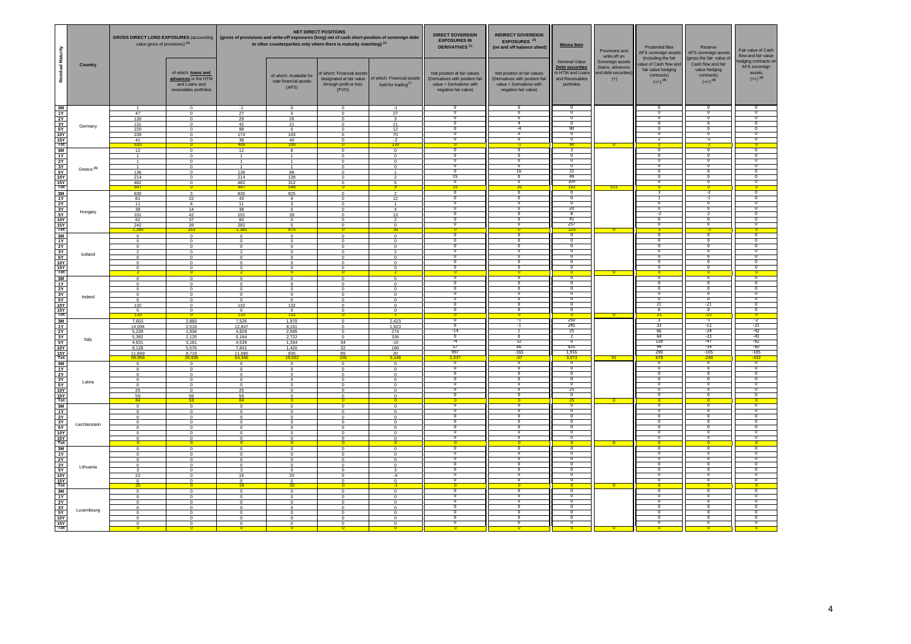|                                                                                                                                      | value gross of provisions) (1)                                                                                   |                                                                                                          | <b>NET DIRECT POSITIONS</b><br>GROSS DIRECT LONG EXPOSURES (accounting   (gross of provisions and write-off exposures (long) net of cash short position of sovereign debt<br>to other counterparties only where there is maturity matching) (1) |                                                                                                                                               | <b>DIRECT SOVEREIGN</b><br><b>EXPOSURES IN</b><br><b>DERIVATIVES<sup>(1)</sup></b> | <b>INDIRECT SOVEREIGN</b><br>EXPOSURES <sup>(3)</sup><br>Memo Item<br>(on and off balance sheet)        |                                                                                                                    | Provisions and<br>write-off on                                                                                     | Prudential filter<br>AFS sovereign assets<br>(including the fair                             | Reserve<br>AFS sovereign assets<br>(gross the fair value of          | Fair value of Cash<br>flow and fair value                                            |                                                                                        |                                                                                 |
|--------------------------------------------------------------------------------------------------------------------------------------|------------------------------------------------------------------------------------------------------------------|----------------------------------------------------------------------------------------------------------|-------------------------------------------------------------------------------------------------------------------------------------------------------------------------------------------------------------------------------------------------|-----------------------------------------------------------------------------------------------------------------------------------------------|------------------------------------------------------------------------------------|---------------------------------------------------------------------------------------------------------|--------------------------------------------------------------------------------------------------------------------|--------------------------------------------------------------------------------------------------------------------|----------------------------------------------------------------------------------------------|----------------------------------------------------------------------|--------------------------------------------------------------------------------------|----------------------------------------------------------------------------------------|---------------------------------------------------------------------------------|
| Residual Maturity<br>Country                                                                                                         |                                                                                                                  | of which: loans and<br>advances in the HTM<br>and Loans and<br>receivables portfolios                    |                                                                                                                                                                                                                                                 | of which: Available for<br>sale financial assets<br>(AFS)                                                                                     | of which: Financial assets<br>through profit or loss<br>(FVO)                      | designated at fair value   of which: Financial assets<br>held for trading $^{(2)}$                      | Net position at fair values<br>(Derivatives with positive fair<br>value + Derivatives with<br>negative fair value) | Net position at fair values<br>(Derivatives with positive fair<br>value + Derivatives with<br>negative fair value) | Nominal Value<br><b>Debt securities</b><br>in HTM and Loan:<br>and Receivables<br>portfolios | Sovereign assets<br>(loans, advances<br>and debt securities<br>$(+)$ | value of Cash flow and<br>fair value hedging<br>contracts)<br>$(+/-)$ <sup>(4)</sup> | Cash flow and fair<br>value hedging<br>contracts)<br>$(+/-)$ <sup>(4)</sup>            | edging contracts or<br>AFS sovereign<br>assets<br>$(+/-)$ <sup>(4)</sup>        |
| $\frac{3M}{1Y}$<br>$\frac{3Y}{5Y}$<br>Germany<br>$\frac{15Y}{\text{Tot}}$                                                            | 47<br>130<br>131<br>220<br>239<br>$\frac{41}{810}$                                                               | $\Omega$<br>$^{\circ}$<br>$^{\circ}$<br>$\Omega$<br>$\Omega$<br>$\mathbf 0$                              | $\frac{-1}{27}$<br>29<br>42<br>98<br>174<br>$\frac{38}{406}$                                                                                                                                                                                    | $\overline{\mathbf{0}}$<br>$\overline{0}$<br>26<br>21<br>$\Omega$<br>103<br>$\frac{40}{190}$                                                  | $\Omega$<br>$^{\circ}$<br>$\Omega$                                                 | $-1$<br>27<br>21<br>12<br>70<br>$\frac{-2}{3}$                                                          | n<br>᠊ᢅ<br>n<br>n<br>τ<br>'n                                                                                       | -0<br>╖<br>-4<br>O                                                                                                 | -0<br>ᅮ<br>╖<br>90<br>$\overline{0}$<br>$-90$                                                | $-0$                                                                 | ᠊ᢆ<br>╖<br>σ                                                                         | ᅮ<br>᠊ᢅᢆ<br>T<br>ი<br>σ                                                                | ᠊ᢅ<br>π<br>$\overline{0}$<br>σ<br>$\overline{0}$                                |
| $\frac{3M}{1Y}$<br>$\frac{2Y}{3Y}$ $\frac{3Y}{10Y}$ $\frac{10Y}{10Y}$<br>Greece <sup>(5)</sup>                                       | 12<br>$\overline{1}$<br>136<br>214<br>482<br>847                                                                 | $\overline{0}$<br>$\mathbf 0$<br>$\Omega$<br>$^{\circ}$<br>$\Omega$<br>$\Omega$<br>$\Omega$              | 12<br>136<br>214<br>482<br>847                                                                                                                                                                                                                  | $\overline{\mathbf{8}}$<br>$\overline{1}$<br>88<br>139<br>$\frac{312}{548}$                                                                   | $\Omega$<br>$\Omega$<br>$\Omega$                                                   | $\overline{0}$<br>$\mathbf{0}$<br>$^{\circ}$<br>$^{\circ}$<br>$\blacktriangleleft$<br>-5                | ᠊ᢐ<br>᠊ᢅ<br>$^{\circ}$<br>n<br>n<br>15<br>$\overline{0}$                                                           | ᠊ᢐ<br>-0<br>-0<br>16<br>О<br>σ                                                                                     | -0<br>-0<br>ᅮ<br>31<br>-49<br>109<br>192                                                     |                                                                      | О<br>᠊ᢆ<br>$^{\circ}$<br>τ                                                           | $\overline{\mathfrak{o}}$<br>ᅮ<br>᠊ᢅ᠓<br>70<br>T<br>ი<br>ᢦ                             | ᠊ᢐ<br>᠊ᢅ<br>$^{\circ}$<br>$\overline{0}$<br>T<br>Ο<br>σ                         |
| $\frac{3M}{1Y}$<br>2Y<br>$\begin{array}{c}\n\hline\n3Y \\ 5Y \\ 10Y \\ \hline\n15Y \\ \hline\n15Y \\ \hline\n\end{array}$<br>Hungary | 830<br>81<br>11<br>38<br>101<br>82<br>242                                                                        | $\overline{\mathbf{3}}$<br>22<br>-8<br>14<br>42<br>37<br>$\frac{28}{153}$                                | 830<br>43<br>11<br>38<br>101<br>80<br>282<br>1,385                                                                                                                                                                                              | 825<br>9<br>$^{\circ}$<br>39<br>$\Omega$<br>$\Omega$<br>875                                                                                   | $\Omega$<br>$\Omega$<br>$\Omega$                                                   | $\mathcal{D}$<br>12<br>$\overline{4}$<br>13<br>$\mathcal{P}$<br>$\Omega$                                | n<br>σ<br>$^{\circ}$<br>$\overline{0}$<br>n<br>Ο<br>n                                                              | ᠊ᢆ᠗<br>$^{\circ}$<br>-0<br>70<br>70<br>70<br>$\mathbf{0}$                                                          | $\overline{\phantom{a}}$<br>-0<br>-0<br>20<br>-8<br>-41<br>257<br>325                        |                                                                      | $^{\circ}$<br>-0<br>-2<br>᠊᠐<br>╖                                                    | -3<br>-1<br>-0<br>70<br>σ<br>ᢦ<br>-3                                                   | n<br>σ<br>$^{\circ}$<br>$\overline{0}$<br>T<br>σ<br>$\overline{0}$              |
| $\frac{3M}{1Y}$<br>2Y<br>$\begin{array}{c}\n\hline\n3Y \\ 5Y \\ 10Y \\ \hline\n15Y \\ \hline\n\end{array}$<br>Iceland                | $\overline{0}$<br>$\overline{0}$<br>$\mathbf 0$<br>$^{\circ}$<br>$^{\circ}$<br>$\Omega$                          | $\overline{\mathbf{0}}$<br>$\overline{0}$<br>$\circ$<br>$\Omega$<br>$^{\circ}$<br>$^{\circ}$<br>$\Omega$ | $\overline{\mathbf{0}}$<br>$\overline{0}$<br>$\circ$<br>$^{\circ}$<br>$^{\circ}$<br>$\Omega$                                                                                                                                                    | $\overline{\mathbf{0}}$<br>$\overline{\mathbf{0}}$<br>$\,$ 0<br>$\Omega$<br>$^{\circ}$<br>$^{\circ}$<br>$\Omega$                              | $\Omega$<br>$^{\circ}$<br>$\Omega$<br>$\Omega$                                     | $\mathbf 0$<br>$^{\circ}$<br>$\mathbf 0$<br>$^{\circ}$<br>$^{\circ}$<br>$^{\circ}$                      | σ<br>᠊ᢆ<br>n<br>T<br>n<br>π                                                                                        | ᠊ᢆᠭ<br>-0<br>╖<br>70<br>70                                                                                         | ᠊᠊ᢆᢆ<br>᠊<br>-0<br>-0<br>╖<br>$\overline{0}$                                                 |                                                                      | О<br>᠊ᢆ<br>╖<br>᠊ᢐ<br>᠊᠐                                                             | 70<br>О<br>ᅮ<br>ᅲ<br>70<br>70<br>ᢦ                                                     | ╖<br>τ<br>᠊ᢆ<br>╖<br>╖<br>π<br>τ                                                |
| 3M<br>1Y<br>2Y<br>$\begin{array}{c}\n\hline\n3Y \\ 5Y \\ 10Y \\ \hline\n15Y \\ \hline\n\end{array}$<br>Ireland                       | $\Omega$<br>$\overline{0}$<br>$\overline{0}$<br>$\overline{\phantom{0}}$<br>$^{\circ}$<br>132<br>$\frac{0}{133}$ | $\Omega$<br>$\mathbf 0$<br>$\circ$<br>$\overline{0}$<br>$^{\circ}$<br>$\overline{0}$<br>$\Omega$         | $\sim$<br>$\circ$<br>$\overline{0}$<br>$\overline{\phantom{0}}$<br>$^{\circ}$<br>132<br>$\frac{0}{133}$                                                                                                                                         | $\overline{0}$<br>$\overline{\phantom{0}}$<br>$\overline{\mathbf{0}}$<br>$\overline{\phantom{a}}$<br>$\overline{0}$<br>132<br>$\frac{0}{132}$ | $\sim$<br>$\mathbf 0$<br>$^{\circ}$<br>$\Omega$<br>$^{\circ}$<br>$^{\circ}$        | $\Omega$<br>$\mathbf{0}$<br>$\mathbf 0$<br>$\overline{0}$<br>$^{\circ}$<br>$^{\circ}$<br>$\mathbf{0}$   | $\overline{\sigma}$<br>n<br>$^{\circ}$<br>n<br>n<br>σ<br>T                                                         | ᠊ᢆᢆ<br>0<br>$^{\circ}$<br>╖<br>╖<br>᠊᠐<br>╖                                                                        | ᠊᠊ᢆ<br>᠊᠐<br>-0<br>ה-<br>ᅮ<br>-0<br>ᅮ                                                        |                                                                      | 0<br>$\Omega$<br>ত<br>╖<br>21<br>╖                                                   | $\overline{\mathfrak{n}}$<br>ი<br>᠊᠐<br>ה-<br>╖<br>$-21$<br>ᢦ<br>$-21$                 | $\overline{\mathfrak{g}}$<br>σ<br>$\overline{\mathfrak{o}}$<br>╖<br>n<br>σ<br>╖ |
| $\frac{3M}{1Y}$<br>$\begin{array}{c}\n\hline\n2Y \\ 3Y \\ 5Y \\ \hline\n10Y \\ 15Y \\ \hline\n\end{array}$<br>Italy                  | 7,603<br>14,094<br>5,239<br>5,392<br>4,831<br>8.128<br>11,669<br>56,956                                          | 2,883<br>2,518<br>1,934<br>2,125<br>3,181<br>5,576<br>8,719<br>26,935                                    | 7,526<br>12,847<br>4,829<br>5,184<br>4,539<br>7.841<br>11,580<br>54,346                                                                                                                                                                         | 1,970<br>8,161<br>2,595<br>2,722<br>1,334<br>1.420<br>$\frac{830}{19,032}$                                                                    | $\Omega$<br>$^{\circ}$<br>$\mathbf 0$<br>34<br>-32<br>$\frac{89}{155}$             | 2,423<br>1,923<br>274<br>336<br>$-10$<br>180<br>$\frac{20}{5,146}$                                      | ᠊ᢐ<br>τ<br>$-14$<br>᠊ᢐ<br>-4<br>-57<br>997<br>1.03                                                                 | -1<br>-1<br>n<br>32<br>66<br>$-165$<br>$-67$                                                                       | 250<br>245<br>-25<br>2<br>ה-<br>635<br>1,916<br>3,07                                         | $-91$                                                                | 33<br>-66<br>64<br>128<br>-94<br>290<br>678                                          | $\overline{\mathbf{r}}$<br>$-12$<br>$-24$<br>$-23$<br>$-47$<br>-34<br>$-105$<br>$-246$ | -2<br>$-21$<br>$-42$<br>$-41$<br>-82<br>-60<br>-185<br>432                      |
| 3M<br>3W<br>1Y<br>2Y<br>3Y<br>5Y<br>10Y<br>15Y<br>Tot<br><b>Latvia</b>                                                               | $\Omega$<br>$\overline{0}$<br>$\overline{0}$<br>$\overline{0}$<br>$^{\circ}$<br>25<br>59<br>RA                   | $\sim$<br>$\overline{0}$<br>$\Omega$<br>$\overline{0}$<br>$\mathbf 0$<br>$\Omega$<br>$\frac{59}{59}$     | $\sim$<br>$\overline{0}$<br>$\Omega$<br>$\overline{0}$<br>$\overline{0}$<br>25<br>59<br>84                                                                                                                                                      | $\Omega$<br>$\mathbf 0$<br>$\mathbf 0$<br>$\overline{0}$<br>$\circ$<br>$\Omega$<br>$^{\circ}$                                                 | $\Omega$<br>$\Omega$<br>$^{\circ}$                                                 | $\Omega$<br>$\mathbf{0}$<br>$\mathbf 0$<br>$\overline{0}$<br>$\mathbf 0$<br>$^{\circ}$<br>$^{\circ}$    | ัง<br>τ<br>σ<br>σ<br>n<br>n<br>T                                                                                   | $\overline{\sigma}$<br>О<br>-0<br>n<br>╖<br>╖<br>╖                                                                 | $\overline{\phantom{a}}$<br>ᢦ<br>᠊<br>᠊᠐<br>ה-<br>25<br>$\overline{\phantom{a}}$             |                                                                      | $\overline{\mathfrak{o}}$<br>τ<br>$^{\circ}$<br>-0<br>╖<br>╖                         | $\overline{\mathfrak{o}}$<br>Ō<br>᠊᠐<br>Ō<br>╖<br>╖<br>70                              | $\overline{0}$<br>τ<br>ᢐ<br>σ<br>╖<br>n<br>T                                    |
| $\frac{3M}{1Y}$<br>2Y<br>3Y<br>Liechtenstein<br>$\begin{array}{c}\n 5Y \\  \hline\n 10Y \\  \hline\n 15Y \\  \hline\n \end{array}$   | $\Omega$<br>$\overline{0}$<br>$\overline{0}$<br>$\mathbf{0}$<br>$\overline{0}$<br>$^{\circ}$                     | $\Omega$<br>$\Omega$<br>$\Omega$<br>$\circ$<br>$\overline{0}$<br>$^{\circ}$                              | $\Omega$<br>$\Omega$<br>$\sim$<br>$\overline{0}$<br>$\overline{0}$<br>$^{\circ}$<br>$^{\circ}$                                                                                                                                                  | $\Omega$<br>$\overline{0}$<br>$\mathbf{0}$<br>$\mathbf{0}$<br>$\overline{0}$<br>$^{\circ}$                                                    | $\Omega$<br>$\sqrt{2}$<br>$\Omega$<br>$\Omega$                                     | $\Omega$<br>$\mathbf{0}$<br>$\overline{0}$<br>$\mathbf 0$<br>$\overline{0}$<br>$^{\circ}$<br>$^{\circ}$ | σ<br>n<br>70<br>᠊ᢅ<br>n<br>╖                                                                                       | σ<br>0<br>-0<br>╖                                                                                                  | 25<br>᠊ᢐ<br>-0<br>ᅮ<br>$^{\circ}$<br>╖<br>╖<br>-0                                            |                                                                      | $\overline{0}$<br>-0<br>᠊ᢅ<br>╖                                                      | σ<br>70<br>О<br>-0<br>╖<br>᠊ᢅᢆ                                                         | $\overline{0}$<br>n<br>σ<br>᠊ᢆ<br>n<br>╖                                        |
| $\frac{3M}{1Y}$<br>2Y<br>$\frac{3Y}{5Y}$<br>Lithuania<br>$\frac{10Y}{15Y}$                                                           | $\Omega$<br>$\Omega$<br>$\Omega$<br>$\mathbf 0$<br>22<br>$\Omega$                                                | $\Omega$<br>$\Omega$<br>$\Omega$<br>$\Omega$<br>$\mathbf 0$                                              | $\Omega$<br>$\Omega$<br>$\Omega$<br>$\Omega$<br>16<br>$\Omega$                                                                                                                                                                                  | $\overline{0}$<br>$\Omega$<br>$\overline{0}$<br>$\bf{0}$<br>$\mathbf 0$<br>20<br>$^{\circ}$                                                   | $\Omega$<br>$\Omega$                                                               | $\Omega$<br>$^{\circ}$<br>$\Omega$<br>$\mathbf 0$<br>$-4$<br>$\Omega$                                   | ╖<br>$\overline{0}$<br>Π<br>-0<br>π<br>n                                                                           | 0<br>-0<br>᠊ᢅᢆ<br>╖                                                                                                | ᠊᠐<br>ᢦ<br>$^{\circ}$<br>-0<br>-0<br>ה-                                                      |                                                                      | ╖<br>᠊᠐<br>᠊ᢆ<br>᠊ᢆ<br>╖                                                             | ი<br>σ<br>70<br>-0<br>70<br>╖                                                          | ╖<br>τ<br>Ο<br>᠊ᢅ<br>╖<br>╖                                                     |
| $\frac{3M}{1Y}$<br>2Y<br>3Y<br>Luxembourg<br>5Y<br>10Y<br>$\frac{15Y}{Tot}$                                                          | 25<br>$\Omega$<br>$\Omega$<br>$\mathbf{0}$<br>$\overline{0}$<br>$\mathbf{0}$<br>$\mathbf 0$                      | $\Omega$<br>$\Omega$<br>$\Omega$<br>$\mathbf 0$<br>$\Omega$                                              | 19<br>$\Omega$<br>$\Omega$<br>$\Omega$<br>$\overline{0}$<br>$\Omega$                                                                                                                                                                            | 20<br>$\overline{0}$<br>$\Omega$<br>$\overline{0}$<br>$\,0\,$<br>$\overline{0}$<br>$\mathbf 0$                                                | $\Omega$<br>$\Omega$<br>$\Omega$                                                   | $^{\circ}$<br>$\Omega$<br>$^{\circ}$<br>$\mathbf{0}$<br>$^{\circ}$<br>$\mathbf 0$<br>$\mathbf 0$        | T<br>$\overline{0}$<br>Ο<br>᠊ᢅ<br>n<br>π                                                                           | ᠊ᢅᢆ<br>-0<br>- 0<br>᠊ᢅᢆ                                                                                            | $\Omega$<br>᠊ᢐ<br>╖<br>᠊᠐<br>-0<br>-0<br>-0<br>n                                             |                                                                      | ᠊᠐<br>᠊ᢆ<br>$^{\circ}$<br>᠊ᢆ                                                         | σ<br>70<br>Ō<br>ᅮ<br>-0<br>ᅲ                                                           | σ<br>n<br>Ο<br>᠊ᢅ<br>╖<br>π                                                     |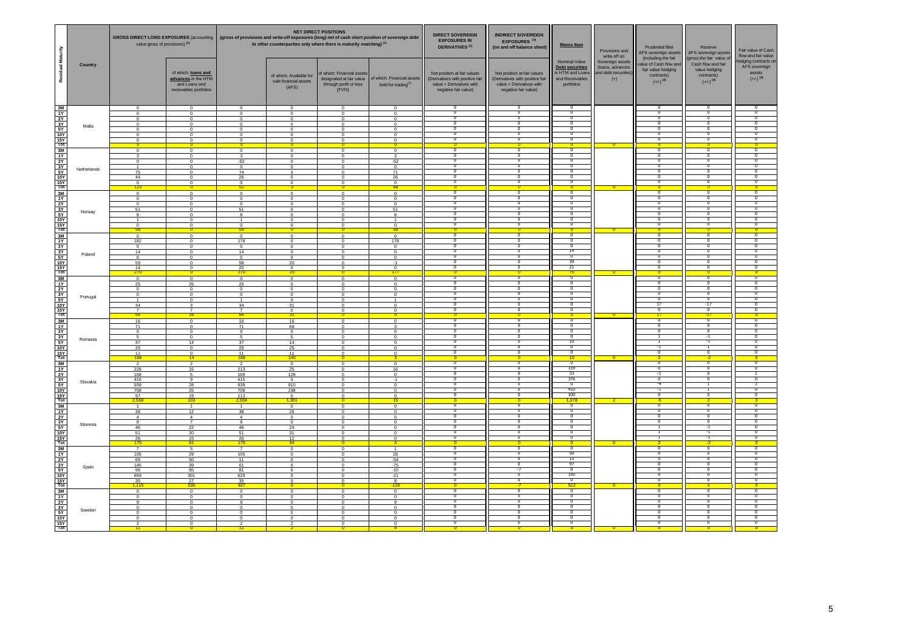|                                                                                                                                     |             | <b>GROSS DIRECT LONG EXPOSURES (accounting)</b><br>value gross of provisions) (1)              |                                                                                                     | <b>NET DIRECT POSITIONS</b><br>(gross of provisions and write-off exposures (long) net of cash short position of sovereign debt<br>to other counterparties only where there is maturity matching) (1) |                                                                                                   | <b>DIRECT SOVEREIGN</b><br><b>EXPOSURES IN</b><br><b>DERIVATIVES<sup>(1)</sup></b>                       | <b>INDIRECT SOVEREIGN</b><br>EXPOSURES <sup>(3)</sup><br>(on and off balance sheet) | Memo Item                                                                                                          | Provisions and<br>write-off on                                                                                     | Prudential filter<br>AFS sovereign assets<br>(including the fair                           | Reserve<br>AFS sovereign assets<br>(gross the fair value of          | Fair value of Cash<br>flow and fair value                                          |                                                                             |                                                                          |
|-------------------------------------------------------------------------------------------------------------------------------------|-------------|------------------------------------------------------------------------------------------------|-----------------------------------------------------------------------------------------------------|-------------------------------------------------------------------------------------------------------------------------------------------------------------------------------------------------------|---------------------------------------------------------------------------------------------------|----------------------------------------------------------------------------------------------------------|-------------------------------------------------------------------------------------|--------------------------------------------------------------------------------------------------------------------|--------------------------------------------------------------------------------------------------------------------|--------------------------------------------------------------------------------------------|----------------------------------------------------------------------|------------------------------------------------------------------------------------|-----------------------------------------------------------------------------|--------------------------------------------------------------------------|
| Residual Maturity                                                                                                                   | Country     |                                                                                                | of which: loans and<br>advances in the HTM<br>and Loans and<br>receivables portfolios               |                                                                                                                                                                                                       | of which: Available for<br>sale financial assets<br>(AFS)                                         | of which: Financial assets<br>designated at fair value<br>through profit or loss<br>(FVO)                | of which: Financial assets<br>held for trading <sup>(2)</sup>                       | Net position at fair values<br>(Derivatives with positive fair<br>value + Derivatives with<br>negative fair value) | Net position at fair values<br>(Derivatives with positive fair<br>value + Derivatives with<br>negative fair value) | Nominal Value<br><b>Debt securities</b><br>n HTM and Loan<br>and Receivables<br>portfolios | Sovereign assets<br>(loans, advances<br>and debt securities<br>$(+)$ | alue of Cash flow an<br>fair value hedging<br>contracts)<br>$(+/-)$ <sup>(4)</sup> | Cash flow and fair<br>value hedging<br>contracts)<br>$(+/-)$ <sup>(4)</sup> | edging contracts or<br>AFS sovereign<br>assets<br>$(+/-)$ <sup>(4)</sup> |
| $\begin{array}{r} 3M \\ 1Y \\ 2Y \\ 3Y \\ 5Y \end{array}$<br><b>10Y</b><br>$rac{15Y}{\text{Tot}}$                                   | Malta       | $\Omega$<br>$\mathbf{0}$<br>$\Omega$<br>$^{\circ}$<br>$^{\circ}$<br>$\mathbf{0}$<br>$^{\circ}$ | $\Omega$<br>$\mathbf{0}$<br>$\mathbf 0$<br>$^{\circ}$<br>$^{\circ}$<br>$^{\circ}$<br>$^{\circ}$     | $\Omega$<br>$\mathbf 0$<br>$\,0\,$<br>$\circ$<br>$\overline{0}$<br>$\circ$<br>$^{\circ}$                                                                                                              | $\overline{0}$<br>$^{\circ}$<br>$\Omega$<br>$\mathbf 0$<br>$^{\circ}$<br>$^{\circ}$<br>$^{\circ}$ | $\mathbf{0}$<br>$\,$ 0<br>$\mathbf 0$<br>$\mathbf 0$<br>$\mathbf 0$<br>$\mathbf 0$<br>$\Omega$           | $\Omega$<br>$\Omega$<br>$\Omega$<br>$\Omega$<br>$\Omega$                            | O<br>-0<br>π<br>n<br>ō                                                                                             | O<br>Ō<br>-0<br>π<br>π                                                                                             | $^{\circ}$<br>$\mathbf{0}$<br>╖                                                            |                                                                      | τ<br>n<br>-0<br>╖<br>╖<br>╖                                                        | -0<br>70<br>╖                                                               | n<br>-0<br>-0<br>-0<br>70                                                |
| $\frac{3M}{1Y}$<br>$rac{2Y}{3Y}$<br>5Y<br><b>10Y</b><br>$rac{15Y}{Tot}$                                                             | Netherlands | $\overline{0}$<br>$\mathbf{R}$<br>$\mathbf 0$<br>75<br>44<br>$\frac{0}{123}$                   | $\overline{0}$<br>$\Omega$<br>$\mathbf 0$<br>$^{\circ}$<br>$\overline{0}$<br>$\Omega$<br>$^{\circ}$ | $\overline{0}$<br>$\overline{\mathbf{3}}$<br>$-52$<br>$\overline{0}$<br>74<br>26<br>$\circ$                                                                                                           | $\Omega$<br>$\Omega$<br>$^{\circ}$<br>$^{\circ}$                                                  | $\overline{0}$<br>$\mathbf 0$<br>$\mathbf 0$<br>$\mathbf 0$<br>$\overline{0}$<br>$\Omega$<br>$\mathbf 0$ | $\Omega$<br>$-52$<br>71<br>26<br>$^{\circ}$                                         | $\overline{0}$<br>π<br>70<br>n<br>╖                                                                                | $\overline{0}$<br>o<br>Ω<br>π<br>π<br>π                                                                            | ᠊ᢐ<br>$^{\circ}$<br>᠊ᢅ<br>╖<br>╖                                                           | $\overline{\mathbf{0}}$                                              | 70<br>Π<br>-0<br>-0<br>╖<br>╖                                                      | Ō<br>-0<br>╖<br>╖<br>╖                                                      | ᢦ<br>-0<br>70<br>╖<br>70                                                 |
| 3M<br>$\frac{1Y}{2Y}$<br>$rac{3Y}{5Y}$<br>$\frac{10Y}{15Y}$<br>Tot                                                                  | Norway      | $\Omega$<br>$\mathbf{0}$<br>$\mathbf 0$<br>51<br>8<br>$^{\circ}$<br>59                         | $\Omega$<br>$^{\circ}$<br>$\mathbf 0$<br>$^{\circ}$<br>$^{\circ}$<br>0<br>$^{\circ}$                | $\Omega$<br>$\overline{0}$<br>$\mathbf 0$<br>51<br>$\overline{\mathbf{8}}$<br>$^{\circ}$<br>59                                                                                                        | $\Omega$<br>$\Omega$<br>$^{\circ}$<br>$\Omega$<br>$\mathbf 0$<br>$\Omega$<br>$^{\circ}$           | $\Omega$<br>$\mathbf 0$<br>$\mathbf 0$<br>$\mathbf 0$<br>$\mathbf 0$<br>$\mathbf 0$<br>0                 | $\Omega$<br>$\Omega$<br>$\Omega$<br>51<br>8<br>59                                   | $\overline{\mathfrak{o}}$<br>$\overline{0}$<br>$\overline{0}$<br>ᅮ<br>70<br>᠊ᢆ<br>n                                | $\overline{0}$<br>O<br>Ō<br>╖<br>π<br>π                                                                            | ᠊᠐<br>᠊ᢆ<br>$^{\circ}$<br>╖<br>╖                                                           | $\mathbf{0}$                                                         | ō<br>n<br>-0<br>╖<br>╖<br>n                                                        | 0<br>n<br>-0<br>╖<br>╖<br>Π                                                 | σ<br>70<br>70<br>70<br>-0<br>-0<br>$\overline{0}$                        |
| $\frac{3M}{1Y}$<br>$rac{2Y}{3Y}$<br>$\frac{5Y}{10Y}$ $\frac{15Y}{10t}$                                                              | Poland      | $\overline{0}$<br>182<br>$\mathbf 0$<br>14<br>$\mathbf 0$<br>59<br>14<br>270                   | $\Omega$<br>$\Omega$<br>$\mathbf 0$<br>$^{\circ}$<br>$\mathbf 0$<br>$\mathbf 0$<br>$^{\circ}$       | $\overline{\phantom{0}}$<br>178<br>$\mathbf 0$<br>14<br>$\overline{0}$<br>58<br>$\frac{20}{270}$                                                                                                      | $\Omega$<br>$\Omega$<br>$^{\circ}$<br>$\Omega$<br>$^{\circ}$<br>20<br>$^{\circ}$                  | $\overline{0}$<br>$\Omega$<br>$\mathbf 0$<br>$\mathbf 0$<br>$\mathbf 0$<br>$\mathbf 0$<br>$\mathbf 0$    | $\overline{0}$<br>178<br>$\mathbf 0$<br>$\Omega$<br>$^{\circ}$<br>$^{\circ}$        | $\overline{0}$<br>$\overline{0}$<br>70<br>ᅮ<br>n<br>╖                                                              | 0<br>0<br>Ω<br>᠊ᢆᠭ<br>π<br>π                                                                                       | σ<br>0<br>14<br>ᅮ<br>-30<br>-71                                                            |                                                                      | 70<br>ō<br>-0<br>-0<br>╖<br>╖                                                      | $\overline{0}$<br>0<br>-0<br>᠊ᢅ᠓<br>╖<br>╖                                  | ᢦ<br>᠊ᢐ<br>-0<br>70<br>╖.<br>╖.                                          |
| $\begin{array}{c}\n 3M \\  1Y \\  2Y\n\end{array}$<br>$rac{3Y}{5Y}$<br>$\frac{10Y}{15Y}$                                            | Portugal    | $\Omega$<br>25<br>$\mathbf 0$<br>$\overline{0}$<br>34<br>66                                    | $\Omega$<br>25<br>$^{\circ}$<br>$\overline{0}$<br>$^{\circ}$<br>3<br>35                             | $\overline{0}$<br>25<br>$\,0\,$<br>$\overline{0}$<br>34<br>66                                                                                                                                         | $\Omega$<br>$\Omega$<br>$\Omega$<br>$^{\circ}$<br>$^{\circ}$<br>31<br>$^{\circ}$                  | $\Omega$<br>$\mathbf 0$<br>$\mathbf 0$<br>$\overline{0}$<br>$^{\circ}$<br>$\overline{0}$<br>$\Omega$     | $\Omega$<br>$\Omega$<br>$\Omega$<br>$\Omega$<br>$^{\circ}$                          | $\overline{0}$<br>O<br>$\overline{0}$<br>ᅮ<br>n<br>᠊ᢆ<br>n                                                         | π<br>᠊ᢆᠭ<br>Ω<br>π<br>Λ                                                                                            | ᠊᠐<br>ᅮ<br>$^{\circ}$<br>᠊ᢅ<br>╖                                                           |                                                                      | τ<br>ō<br>-0<br>-0<br>-17<br>╖<br>Ŧ.                                               | $\overline{0}$<br>᠊ᢅᢆ<br>-0<br>-17<br>╖                                     | ᢦ<br>70<br>-0<br>70<br>╖                                                 |
| $\frac{3M}{1Y}$<br>$rac{2Y}{3Y}$<br>5Y<br><b>10Y</b><br>$rac{15Y}{Tot}$                                                             | Romania     | 16<br>71<br>$\mathbf{0}$<br>$\mathbf{r}$<br>37<br>25<br>11<br>166                              | $\mathbf{0}$<br>$^{\circ}$<br>$\mathbf{0}$<br>$\mathbf 0$<br>14<br>$^{\circ}$<br>$^{\circ}$<br>14   | 16<br>71<br>$\mathbf 0$<br>$\overline{a}$<br>37<br>25<br>11<br>166                                                                                                                                    | 16<br>68<br>$\mathbf{0}$<br>$\sqrt{2}$<br>14<br>25<br>11<br>140                                   | $\mathbf 0$<br>$\Omega$<br>$\,$ 0<br>$\mathbf 0$<br>$\mathbf 0$<br>$\mathbf 0$<br>$\mathbf 0$            | $\Omega$<br>$\Omega$<br>$\Omega$<br>$\Omega$<br>$^{\circ}$                          | $\overline{0}$<br>$\overline{0}$<br>$\overline{0}$<br>Ō<br>ᅮ<br>π<br>n                                             | O<br>$\overline{0}$<br>o<br>$^{\circ}$<br>π<br>π                                                                   | $^{\circ}$<br>$\overline{10}$<br>╖<br>╖                                                    | $\overline{0}$                                                       | ╖<br>╖<br>ō<br>-1<br>┑<br>╖                                                        | ╖<br>-1<br>⊣<br>╖                                                           | ᠊ᢐ<br>σ<br>-0<br>70<br>70<br>-0                                          |
| $\frac{3M}{1Y}$<br>2Y<br>$rac{3Y}{5Y}$<br>$\frac{10Y}{15Y}$<br>Tot                                                                  | Slovakia    | $\overline{2}$<br>228<br>168<br>416<br>939<br>708<br>97<br>2.558                               | $\mathcal{P}$<br>15<br>$5^{\circ}$<br>9<br>28<br>25<br>19<br>103                                    | $\overline{\phantom{a}}$<br>213<br>168<br>415<br>939<br>708<br>113<br>2,558                                                                                                                           | $\overline{0}$<br>25<br>128<br>$\mathbf 0$<br>910<br>238<br>$^{\circ}$<br>1.301                   | $\Omega$<br>$\mathbf 0$<br>$\Omega$<br>$\mathbf 0$<br>$\mathbf 0$<br>$\overline{0}$<br>$^{\circ}$<br>o   | $\Omega$<br>16<br>$\Omega$<br>$-1$<br>$\Omega$<br>15                                | π<br>O<br>$\overline{0}$<br>ō<br>π<br>70<br>n                                                                      | O<br>$\overline{0}$<br>π<br>Ω<br>π<br>π                                                                            | 159<br>33<br>376<br>-0<br>410<br>100<br>1,078                                              |                                                                      | ╖<br>-1<br>'n<br>-4<br>-1<br>╖                                                     | $\overline{0}$<br>╖                                                         | ┱<br>᠊ᢐ<br>70<br>-3<br>70<br>᠊ᢅ                                          |
| $\frac{3M}{1Y}$<br>$rac{2Y}{3Y}$<br>$\begin{array}{r}\n 5Y \\  \hline\n 10Y \\  \hline\n 15Y \\  \hline\n \text{Tot}\n \end{array}$ | Slovenia    | $\overline{1}$<br>38<br>$\overline{4}$<br>$\mathbf{a}$<br>46<br>51<br>26<br>175                | $\overline{1}$<br>12<br>$\overline{4}$<br>$\overline{7}$<br>22<br>20<br>15<br>81                    | $\overline{1}$<br>38<br>$\overline{4}$<br>$\mathbf{a}$<br>46<br>51<br>26<br>175                                                                                                                       | $\overline{0}$<br>26<br>$\mathbf{0}$<br>$^{\circ}$<br>24<br>31<br>12<br>94                        | $\overline{0}$<br>$\Omega$<br>$\mathbf 0$<br>$\mathbf 0$<br>$\overline{0}$<br>$^{\circ}$<br>$\mathbf 0$  | $\Omega$<br>$\Omega$<br>$\Omega$<br>$\Omega$<br>$\mathbf{0}$                        | $\overline{\mathfrak{o}}$<br>$\overline{0}$<br>σ<br>$\overline{0}$<br>᠊ᢆ<br>π<br>n                                 | σ<br>0<br>$\overline{0}$<br>n<br>᠊ᢆᠭ<br>π<br>π                                                                     | ᠊ᢐ<br>᠊ᡉ<br>᠊ᢐ<br>᠊ᢆ<br>᠊ᢅ<br>╖<br>╖                                                       | $\overline{\mathbf{0}}$                                              | ᠊᠗<br>Π<br>70<br>n<br>┑                                                            | Ō<br>70<br>⊣<br>-1<br>न                                                     | ᠊᠊ᢆᢆ<br>᠊ᢐ<br>ᢦ<br>70<br>70<br>᠊ᢅ<br>-0<br>n                             |
| $\frac{3M}{1Y}$<br>$\begin{array}{c}\n\frac{3Y}{5Y} \\ \hline\n10Y \\ \hline\n15Y \\ \hline\n\end{array}$                           | Spain       | $\overline{7}$<br>105<br>69<br>145<br>96<br>659<br>$\frac{35}{1,115}$                          | $5\overline{5}$<br>29<br>50<br>39<br>85<br>301<br>27<br>535                                         | $\overline{\ }$<br>105<br>11<br>61<br>81<br>629<br>$\frac{35}{927}$                                                                                                                                   | $\Omega$<br>$\Omega$<br>$\Omega$<br>$\,0\,$<br>6<br>$^{\circ}$                                    | $\Omega$<br>$\mathbf 0$<br>$\Omega$<br>$\mathbf 0$<br>$\overline{0}$<br>$\mathbf 0$<br>0                 | $\blacktriangleleft$<br>26<br>$-54$<br>$-75$<br>$-10$<br>$-21$<br>126               | $\overline{0}$<br>π<br>O<br>$\overline{0}$<br>᠊ᢆ<br>ᅮ<br>n                                                         | π<br>π<br>O<br>$\overline{0}$<br>-7<br>π<br>π                                                                      | 50<br>15<br>97<br>ᅮ<br>350<br>╖<br>512                                                     | $^{\circ}$                                                           | ╖<br>τ<br>70<br>-0<br>-0<br>╖                                                      | 0<br>$^{\circ}$<br>᠊ᢅ᠓<br>╖                                                 | ᠊᠊ᢆᢆ<br>70<br>᠊ᢐ<br>ᢦ<br>-0<br>70<br>╖.                                  |
| $\frac{3M}{1Y}$<br>$rac{2Y}{3Y}$<br>5Y<br>$\frac{10Y}{15Y}$                                                                         | Sweden      | $^{\circ}$<br>$\Omega$<br>$\mathbf{q}$<br>$\mathbf 0$<br>$\overline{0}$                        | $^{\circ}$<br>$\Omega$<br>$^{\circ}$<br>$^{\circ}$<br>$\overline{0}$<br>$\mathbf 0$<br>$^{\circ}$   | $\overline{0}$<br>$\Omega$<br>$\mathbf{q}$<br>$\mathbf 0$<br>$\overline{0}$<br>$\overline{0}$                                                                                                         | $^{\circ}$<br>$\Omega$<br>$\Omega$<br>$\Omega$<br>$^{\circ}$                                      | $^{\circ}$<br>$\Omega$<br>$\mathbf 0$<br>$\mathbf 0$<br>$\overline{0}$<br>$\mathbf 0$                    | $\Omega$<br>$\Omega$<br><b>Q</b><br>$\Omega$<br>$^{\circ}$                          | π<br>τ<br>ō<br>n<br>n<br>π                                                                                         | ⊽<br>$\overline{0}$<br>π<br>0<br>᠊ᢆᠭ<br>Ω<br>π                                                                     | ᠊ᢆ᠗<br>᠊ᡉ<br>╖<br>╖<br>᠊ᢅ<br>$^{\circ}$<br>᠊ᢆ                                              |                                                                      | ᠊᠗<br>70<br>╖<br>τ<br>-0<br>-0<br>$\overline{0}$<br>n                              | ╖<br>70<br>0<br>-0<br>-0<br>╖                                               | ᠊᠊ᢆᢆ<br>70<br>Ο<br>-0<br>-0<br>╖                                         |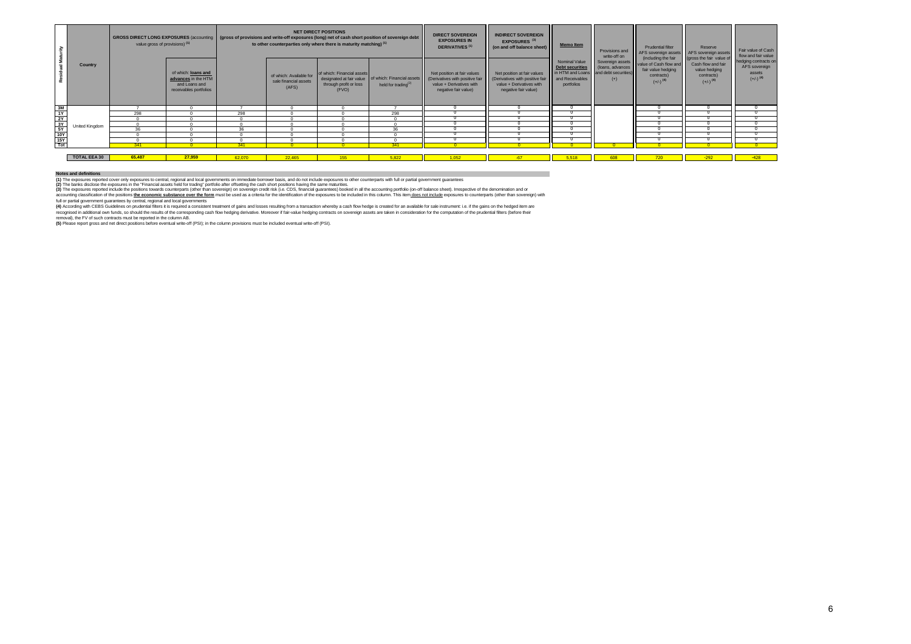|            |                     | <b>GROSS DIRECT LONG EXPOSURES (accounting</b><br>value gross of provisions) (1) |                                                                                       | <b>NET DIRECT POSITIONS</b><br>(gross of provisions and write-off exposures (long) net of cash short position of sovereign debt<br>to other counterparties only where there is maturity matching) <sup>(1)</sup> |                                                           |                                                               |                                                                                          | <b>DIRECT SOVEREIGN</b><br><b>EXPOSURES IN</b><br><b>DERIVATIVES</b> <sup>(1)</sup>                                | <b>INDIRECT SOVEREIGN</b><br>EXPOSURES <sup>(3)</sup><br>(on and off balance sheet)                               | <b>Memo Item</b>                                                                      | Provisions and<br>write-off on                    | Prudential filter<br>AFS sovereign assets   AFS sovereign assets                                                             | Reserve                                                                                                 | Fair value of Cash<br>flow and fair value                                 |
|------------|---------------------|----------------------------------------------------------------------------------|---------------------------------------------------------------------------------------|------------------------------------------------------------------------------------------------------------------------------------------------------------------------------------------------------------------|-----------------------------------------------------------|---------------------------------------------------------------|------------------------------------------------------------------------------------------|--------------------------------------------------------------------------------------------------------------------|-------------------------------------------------------------------------------------------------------------------|---------------------------------------------------------------------------------------|---------------------------------------------------|------------------------------------------------------------------------------------------------------------------------------|---------------------------------------------------------------------------------------------------------|---------------------------------------------------------------------------|
|            | Country             |                                                                                  | of which: loans and<br>advances in the HTM<br>and Loans and<br>receivables portfolios |                                                                                                                                                                                                                  | of which: Available for<br>sale financial assets<br>(AFS) | of which: Financial assets<br>through profit or loss<br>(FVO) | designated at fair value   of which: Financial assets<br>held for trading <sup>(2)</sup> | Net position at fair values<br>(Derivatives with positive fair<br>value + Derivatives with<br>negative fair value) | Net position at fair values<br>Derivatives with positive fair<br>value + Derivatives with<br>negative fair value) | Nominal Value<br>Debt securities<br>in HTM and Loans<br>and Receivables<br>portfolios | (loans, advances<br>and debt securities)<br>$(+)$ | (including the fair<br>Sovereign assets value of Cash flow and<br>fair value hedging<br>contracts)<br>$(+/-)$ <sup>(4)</sup> | (gross the fair value of<br>Cash flow and fair<br>value hedging<br>contracts)<br>$(+/-)$ <sup>(4)</sup> | hedging contracts on<br>AFS sovereign<br>assets<br>$(+/-)$ <sup>(4)</sup> |
|            |                     |                                                                                  |                                                                                       |                                                                                                                                                                                                                  |                                                           |                                                               |                                                                                          |                                                                                                                    |                                                                                                                   |                                                                                       |                                                   |                                                                                                                              |                                                                                                         |                                                                           |
| gist 의식 서울 |                     | 298                                                                              |                                                                                       | 298                                                                                                                                                                                                              |                                                           |                                                               | 298                                                                                      |                                                                                                                    |                                                                                                                   |                                                                                       |                                                   |                                                                                                                              |                                                                                                         |                                                                           |
|            |                     |                                                                                  |                                                                                       |                                                                                                                                                                                                                  |                                                           |                                                               |                                                                                          |                                                                                                                    |                                                                                                                   |                                                                                       |                                                   |                                                                                                                              |                                                                                                         |                                                                           |
|            | Jnited Kinadom      |                                                                                  |                                                                                       |                                                                                                                                                                                                                  |                                                           |                                                               |                                                                                          |                                                                                                                    |                                                                                                                   |                                                                                       |                                                   |                                                                                                                              |                                                                                                         |                                                                           |
|            |                     | 36                                                                               |                                                                                       | 36                                                                                                                                                                                                               |                                                           |                                                               | 36                                                                                       |                                                                                                                    |                                                                                                                   |                                                                                       |                                                   |                                                                                                                              |                                                                                                         |                                                                           |
|            |                     |                                                                                  |                                                                                       |                                                                                                                                                                                                                  |                                                           |                                                               |                                                                                          |                                                                                                                    |                                                                                                                   |                                                                                       |                                                   |                                                                                                                              |                                                                                                         |                                                                           |
|            |                     |                                                                                  |                                                                                       |                                                                                                                                                                                                                  |                                                           |                                                               |                                                                                          |                                                                                                                    |                                                                                                                   |                                                                                       |                                                   |                                                                                                                              |                                                                                                         |                                                                           |
|            |                     | 341                                                                              |                                                                                       | 341                                                                                                                                                                                                              |                                                           |                                                               | 341                                                                                      |                                                                                                                    |                                                                                                                   |                                                                                       |                                                   |                                                                                                                              |                                                                                                         | $\Omega$                                                                  |
|            |                     |                                                                                  |                                                                                       |                                                                                                                                                                                                                  |                                                           |                                                               |                                                                                          |                                                                                                                    |                                                                                                                   |                                                                                       |                                                   |                                                                                                                              |                                                                                                         |                                                                           |
|            | <b>TOTAL EEA 30</b> | 65,487                                                                           | 27,959                                                                                | 62.070                                                                                                                                                                                                           | 22,465                                                    | 155                                                           | 5.822                                                                                    | 1.052                                                                                                              | $-67$                                                                                                             | 5.518                                                                                 |                                                   |                                                                                                                              | $-292$                                                                                                  | $-428$                                                                    |

#### **Notes and definitions**

(1) The exposures reported cover only exposures to central, regional and local governments on immediate borrower basis, and do not include exposures to other counterparts with full or partial government guarantees.<br>(2) The

**(3)** The exposures reported include the positions towards counterparts (other than sovereign) on sovereign credit risk (i.e. CDS, financial guarantees) booked in all the accounting portfolio (on-off balance sheet). Irresp

(4) According win CEBS Guidelines on prudental filters its required a consistent treatment of gains and tosser resulting from a transaction wherely a cash flow the other band for an author of the computation of the prains

removal), the FV of such contracts must be reported in the column AB.<br>**(5)** Please report gross and net direct positions before eventual write-off (PSI); in the column provisions must be included eventual write-off (PSI).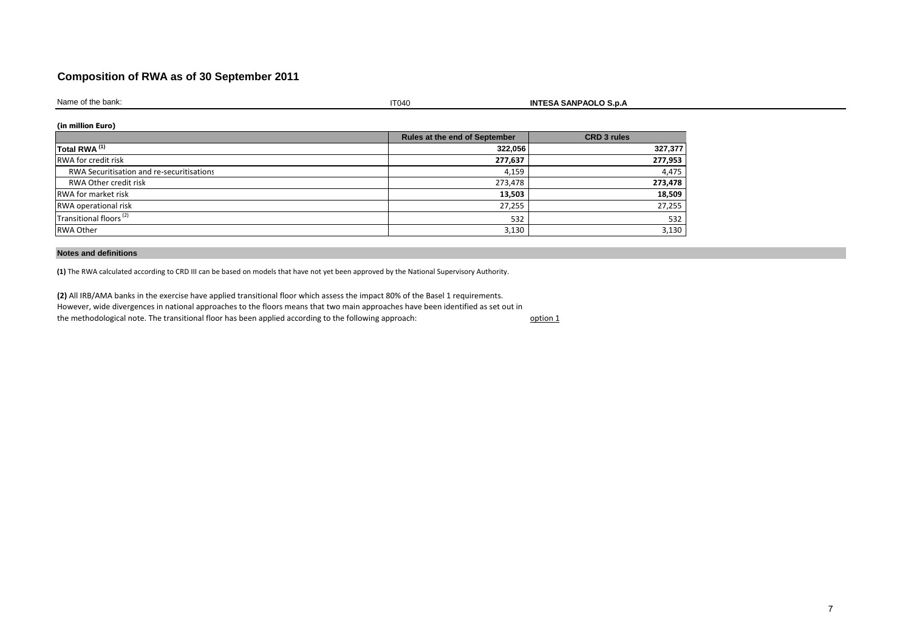### **Composition of RWA as of 30 September 2011**

Name of the bank:

 $\blacksquare$ 

**INTESA SANPAOLO S.p.A**

**(in million Euro)**

|                                           | <b>Rules at the end of September</b> | <b>CRD 3 rules</b> |
|-------------------------------------------|--------------------------------------|--------------------|
| Total RWA <sup>(1)</sup>                  | 322,056                              | 327,377            |
| <b>RWA for credit risk</b>                | 277,637                              | 277,953            |
| RWA Securitisation and re-securitisations | 4,159                                | 4,475              |
| RWA Other credit risk                     | 273,478                              | 273,478            |
| <b>RWA</b> for market risk                | 13,503                               | 18,509             |
| RWA operational risk                      | 27,255                               | 27,255             |
| Transitional floors <sup>(2)</sup>        | 532                                  | 532                |
| RWA Other                                 | 3,130                                | 3,130              |

#### **Notes and definitions**

**(1)** The RWA calculated according to CRD III can be based on models that have not yet been approved by the National Supervisory Authority.

**(2)** All IRB/AMA banks in the exercise have applied transitional floor which assess the impact 80% of the Basel 1 requirements. However, wide divergences in national approaches to the floors means that two main approaches have been identified as set out in the methodological note. The transitional floor has been applied according to the following approach:

option 1